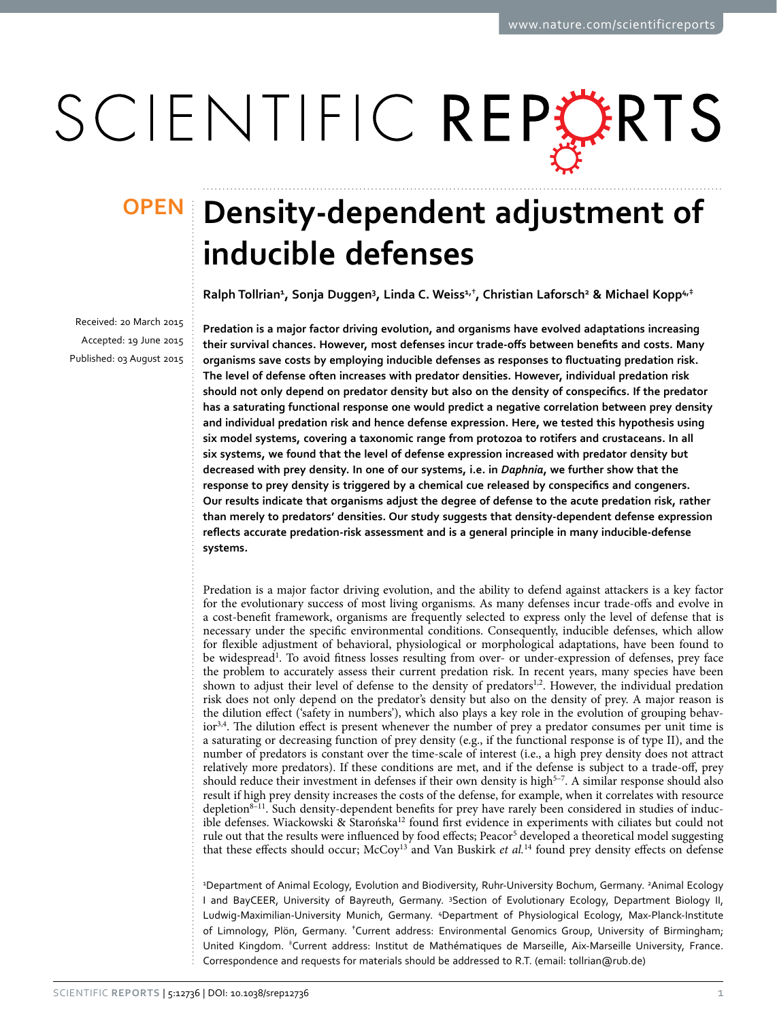# SCIENTIFIC REPERTS

received: 20 March 2015 accepted: 19 June 2015 Published: 03 August 2015

## **Density-dependent adjustment of OPENinducible defenses**

 $R$ alph Tollrian<sup>1</sup>, Sonja Duggen<sup>3</sup>, Linda C. Weiss<sup>1,†</sup>, Christian Laforsch<sup>2</sup> & Michael Kopp<sup>4,‡</sup>

**Predation is a major factor driving evolution, and organisms have evolved adaptations increasing their survival chances. However, most defenses incur trade-offs between benefits and costs. Many organisms save costs by employing inducible defenses as responses to fluctuating predation risk. The level of defense often increases with predator densities. However, individual predation risk should not only depend on predator density but also on the density of conspecifics. If the predator has a saturating functional response one would predict a negative correlation between prey density and individual predation risk and hence defense expression. Here, we tested this hypothesis using six model systems, covering a taxonomic range from protozoa to rotifers and crustaceans. In all six systems, we found that the level of defense expression increased with predator density but decreased with prey density. In one of our systems, i.e. in** *Daphnia***, we further show that the response to prey density is triggered by a chemical cue released by conspecifics and congeners. Our results indicate that organisms adjust the degree of defense to the acute predation risk, rather than merely to predators' densities. Our study suggests that density-dependent defense expression reflects accurate predation-risk assessment and is a general principle in many inducible-defense systems.**

Predation is a major factor driving evolution, and the ability to defend against attackers is a key factor for the evolutionary success of most living organisms. As many defenses incur trade-offs and evolve in a cost-benefit framework, organisms are frequently selected to express only the level of defense that is necessary under the specific environmental conditions. Consequently, inducible defenses, which allow for flexible adjustment of behavioral, physiological or morphological adaptations, have been found to be widespread<sup>[1](#page-7-0)</sup>. To avoid fitness losses resulting from over- or under-expression of defenses, prey face the problem to accurately assess their current predation risk. In recent years, many species have been shown to adjust their level of defense to the density of predators<sup>[1,](#page-7-0)[2](#page-7-1)</sup>. However, the individual predation risk does not only depend on the predator's density but also on the density of prey. A major reason is the dilution effect ('safety in numbers'), which also plays a key role in the evolution of grouping behavior<sup>3,4</sup>. The dilution effect is present whenever the number of prey a predator consumes per unit time is a saturating or decreasing function of prey density (e.g., if the functional response is of type II), and the number of predators is constant over the time-scale of interest (i.e., a high prey density does not attract relatively more predators). If these conditions are met, and if the defense is subject to a trade-off, prey should reduce their investment in defenses if their own density is high<sup>5-7</sup>. A similar response should also result if high prey density increases the costs of the defense, for example, when it correlates with resource depletion<sup>8–11</sup>. Such density-dependent benefits for prey have rarely been considered in studies of inducible defenses. Wiackowski & Starońska<sup>12</sup> found first evidence in experiments with ciliates but could not rule out that the results were influenced by food effects; Peacor<sup>5</sup> developed a theoretical model suggesting that these effects should occur; McCo[y13](#page-7-7) and Van Buskirk *et al.*[14](#page-7-8) found prey density effects on defense

<sup>1</sup>Department of Animal Ecology, Evolution and Biodiversity, Ruhr-University Bochum, Germany. <sup>2</sup>Animal Ecology I and BayCEER, University of Bayreuth, Germany. <sup>3</sup>Section of Evolutionary Ecology, Department Biology II, Ludwig-Maximilian-University Munich, Germany. 4 Department of Physiological Ecology, Max-Planck-Institute of Limnology, Plön, Germany. <sup>†</sup>Current address: Environmental Genomics Group, University of Birmingham; United Kingdom. \*Current address: Institut de Mathématiques de Marseille, Aix-Marseille University, France. Correspondence and requests for materials should be addressed to R.T. (email: [tollrian@rub.de](mailto:tollrian@rub.de))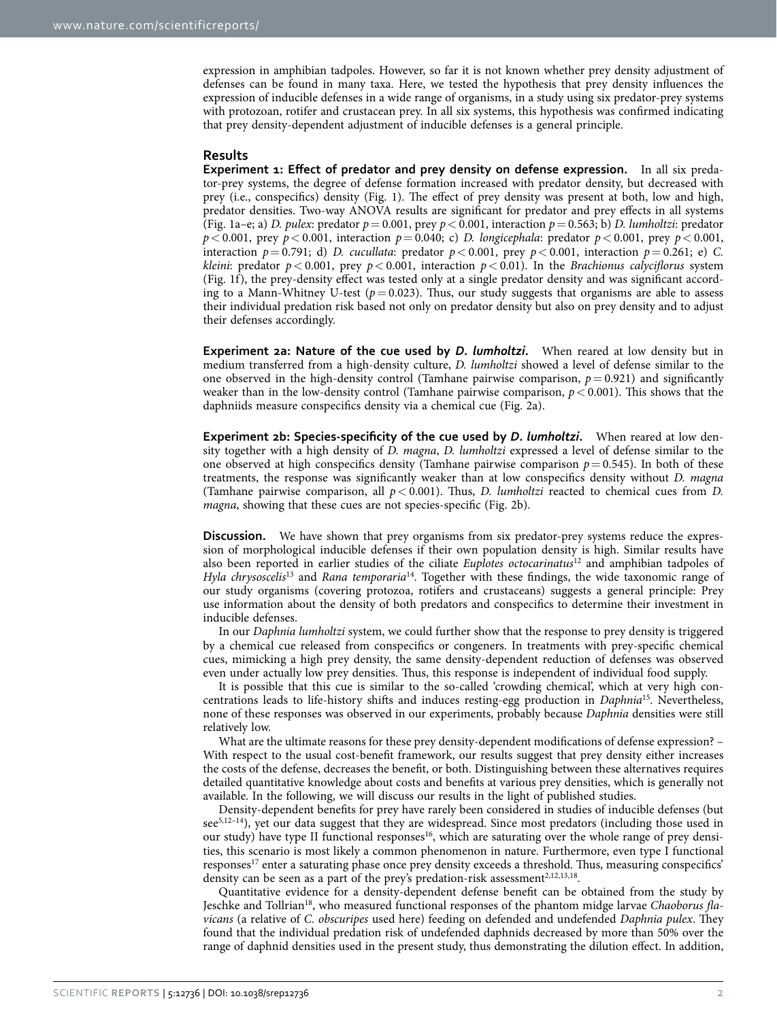expression in amphibian tadpoles. However, so far it is not known whether prey density adjustment of defenses can be found in many taxa. Here, we tested the hypothesis that prey density influences the expression of inducible defenses in a wide range of organisms, in a study using six predator-prey systems with protozoan, rotifer and crustacean prey. In all six systems, this hypothesis was confirmed indicating that prey density-dependent adjustment of inducible defenses is a general principle.

#### **Results**

**Experiment 1: Effect of predator and prey density on defense expression.** In all six predator-prey systems, the degree of defense formation increased with predator density, but decreased with prey (i.e., conspecifics) density [\(Fig. 1\)](#page-2-0). The effect of prey density was present at both, low and high, predator densities. Two-way ANOVA results are significant for predator and prey effects in all systems ([Fig. 1a–e](#page-2-0); a) *D. pulex*: predator  $p = 0.001$ , prey  $p < 0.001$ , interaction  $p = 0.563$ ; b) *D. lumholtzi*: predator  $p < 0.001$ , prey  $p < 0.001$ , interaction  $p = 0.040$ ; c) *D. longicephala*: predator  $p < 0.001$ , prey  $p < 0.001$ , interaction  $p = 0.791$ ; d) *D. cucullata*: predator  $p < 0.001$ , prey  $p < 0.001$ , interaction  $p = 0.261$ ; e) *C. kleini*: predator *p*< 0.001, prey *p*< 0.001, interaction *p*< 0.01). In the *Brachionus calyciflorus* system ([Fig. 1f](#page-2-0)), the prey-density effect was tested only at a single predator density and was significant according to a Mann-Whitney U-test  $(p= 0.023)$ . Thus, our study suggests that organisms are able to assess their individual predation risk based not only on predator density but also on prey density and to adjust their defenses accordingly.

**Experiment 2a: Nature of the cue used by** *D. lumholtzi***.** When reared at low density but in medium transferred from a high-density culture, *D. lumholtzi* showed a level of defense similar to the one observed in the high-density control (Tamhane pairwise comparison, *p*= 0.921) and significantly weaker than in the low-density control (Tamhane pairwise comparison, *p*< 0.001). This shows that the daphniids measure conspecifics density via a chemical cue ([Fig. 2a](#page-3-0)).

**Experiment 2b: Species-specificity of the cue used by** *D. lumholtzi***.** When reared at low density together with a high density of *D. magna*, *D. lumholtzi* expressed a level of defense similar to the one observed at high conspecifics density (Tamhane pairwise comparison  $p = 0.545$ ). In both of these treatments, the response was significantly weaker than at low conspecifics density without *D. magna* (Tamhane pairwise comparison, all  $p < 0.001$ ). Thus, *D. lumholtzi* reacted to chemical cues from *D*. *magna*, showing that these cues are not species-specific ([Fig. 2b](#page-3-0)).

**Discussion.** We have shown that prey organisms from six predator-prey systems reduce the expression of morphological inducible defenses if their own population density is high. Similar results have also been reported in earlier studies of the ciliate *Euplotes octocarinatus*[12](#page-7-6) and amphibian tadpoles of *Hyla chrysoscelis*[13](#page-7-7) and *Rana temporaria*[14](#page-7-8). Together with these findings, the wide taxonomic range of our study organisms (covering protozoa, rotifers and crustaceans) suggests a general principle: Prey use information about the density of both predators and conspecifics to determine their investment in inducible defenses.

In our *Daphnia lumholtzi* system, we could further show that the response to prey density is triggered by a chemical cue released from conspecifics or congeners. In treatments with prey-specific chemical cues, mimicking a high prey density, the same density-dependent reduction of defenses was observed even under actually low prey densities. Thus, this response is independent of individual food supply.

It is possible that this cue is similar to the so-called 'crowding chemical', which at very high concentrations leads to life-history shifts and induces resting-egg production in *Daphnia*[15](#page-7-9). Nevertheless, none of these responses was observed in our experiments, probably because *Daphnia* densities were still relatively low.

What are the ultimate reasons for these prey density-dependent modifications of defense expression? – With respect to the usual cost-benefit framework, our results suggest that prey density either increases the costs of the defense, decreases the benefit, or both. Distinguishing between these alternatives requires detailed quantitative knowledge about costs and benefits at various prey densities, which is generally not available. In the following, we will discuss our results in the light of published studies.

Density-dependent benefits for prey have rarely been considered in studies of inducible defenses (but  $\sec^{5,12-14}$ ), yet our data suggest that they are widespread. Since most predators (including those used in our study) have type II functional responses<sup>16</sup>, which are saturating over the whole range of prey densities, this scenario is most likely a common phenomenon in nature. Furthermore, even type I functional responses<sup>[17](#page-7-11)</sup> enter a saturating phase once prey density exceeds a threshold. Thus, measuring conspecifics' density can be seen as a part of the prey's predation-risk assessment<sup>[2,](#page-7-1)[12](#page-7-6)[,13](#page-7-7),18</sup>.

Quantitative evidence for a density-dependent defense benefit can be obtained from the study by Jeschke and Tollrian[18](#page-7-12), who measured functional responses of the phantom midge larvae *Chaoborus flavicans* (a relative of *C. obscuripes* used here) feeding on defended and undefended *Daphnia pulex*. They found that the individual predation risk of undefended daphnids decreased by more than 50% over the range of daphnid densities used in the present study, thus demonstrating the dilution effect. In addition,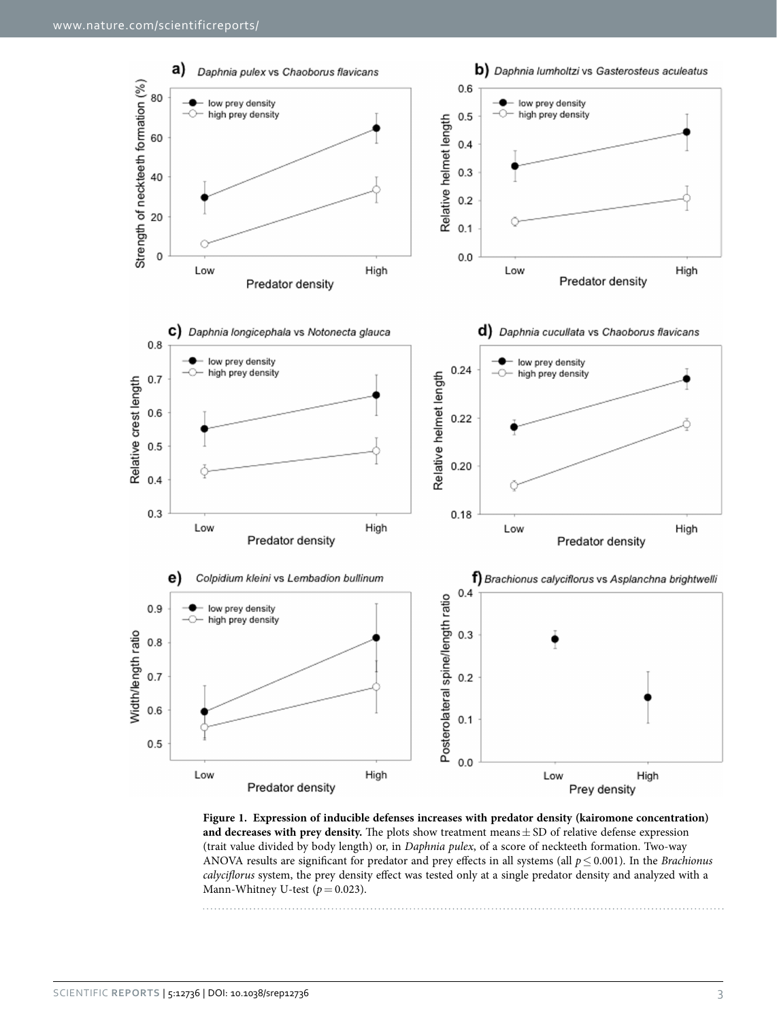

<span id="page-2-0"></span>**Figure 1. Expression of inducible defenses increases with predator density (kairomone concentration) and decreases with prey density.** The plots show treatment means± SD of relative defense expression (trait value divided by body length) or, in *Daphnia pulex*, of a score of neckteeth formation. Two-way ANOVA results are significant for predator and prey effects in all systems (all *p*≤ 0.001). In the *Brachionus calyciflorus* system, the prey density effect was tested only at a single predator density and analyzed with a Mann-Whitney U-test  $(p = 0.023)$ .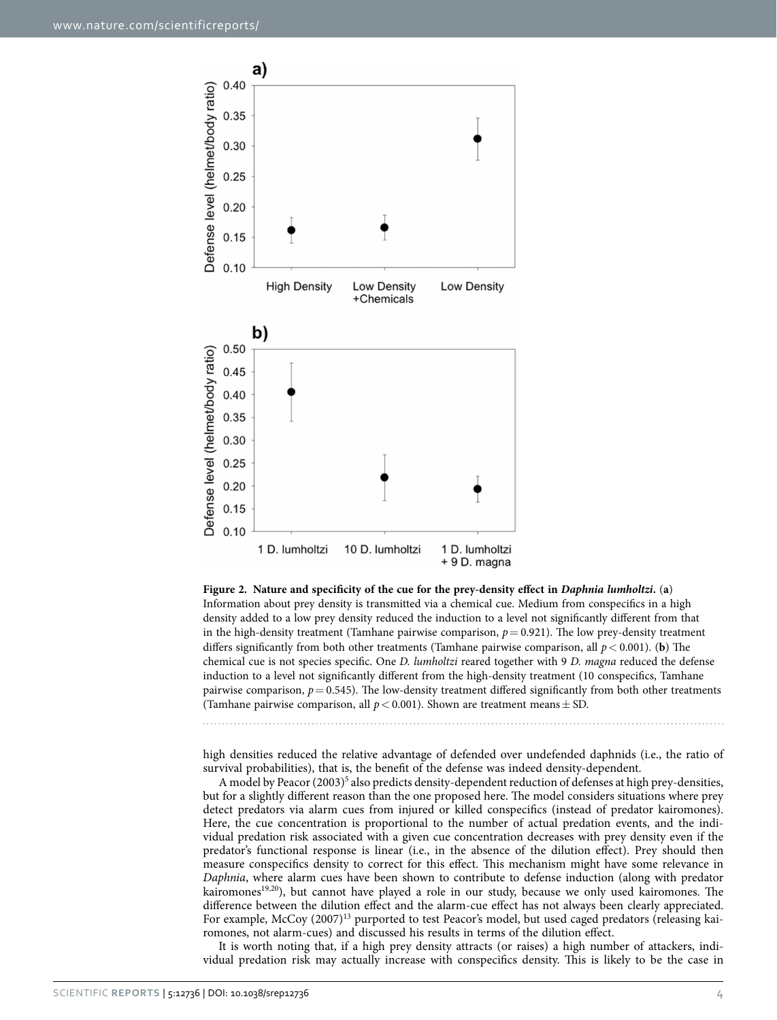

<span id="page-3-0"></span>**Figure 2. Nature and specificity of the cue for the prey-density effect in** *Daphnia lumholtzi***.** (**a**) Information about prey density is transmitted via a chemical cue. Medium from conspecifics in a high density added to a low prey density reduced the induction to a level not significantly different from that in the high-density treatment (Tamhane pairwise comparison,  $p = 0.921$ ). The low prey-density treatment differs significantly from both other treatments (Tamhane pairwise comparison, all *p*< 0.001). (**b**) The chemical cue is not species specific. One *D. lumholtzi* reared together with 9 *D. magna* reduced the defense induction to a level not significantly different from the high-density treatment (10 conspecifics, Tamhane pairwise comparison,  $p = 0.545$ ). The low-density treatment differed significantly from both other treatments (Tamhane pairwise comparison, all  $p < 0.001$ ). Shown are treatment means  $\pm$  SD.

high densities reduced the relative advantage of defended over undefended daphnids (i.e., the ratio of survival probabilities), that is, the benefit of the defense was indeed density-dependent.

A model by Peacor (2003)<sup>5</sup> also predicts density-dependent reduction of defenses at high prey-densities, but for a slightly different reason than the one proposed here. The model considers situations where prey detect predators via alarm cues from injured or killed conspecifics (instead of predator kairomones). Here, the cue concentration is proportional to the number of actual predation events, and the individual predation risk associated with a given cue concentration decreases with prey density even if the predator's functional response is linear (i.e., in the absence of the dilution effect). Prey should then measure conspecifics density to correct for this effect. This mechanism might have some relevance in *Daphnia*, where alarm cues have been shown to contribute to defense induction (along with predator kairomones<sup>19,20</sup>), but cannot have played a role in our study, because we only used kairomones. The difference between the dilution effect and the alarm-cue effect has not always been clearly appreciated. For example, McCoy (2007)<sup>13</sup> purported to test Peacor's model, but used caged predators (releasing kairomones, not alarm-cues) and discussed his results in terms of the dilution effect.

It is worth noting that, if a high prey density attracts (or raises) a high number of attackers, individual predation risk may actually increase with conspecifics density. This is likely to be the case in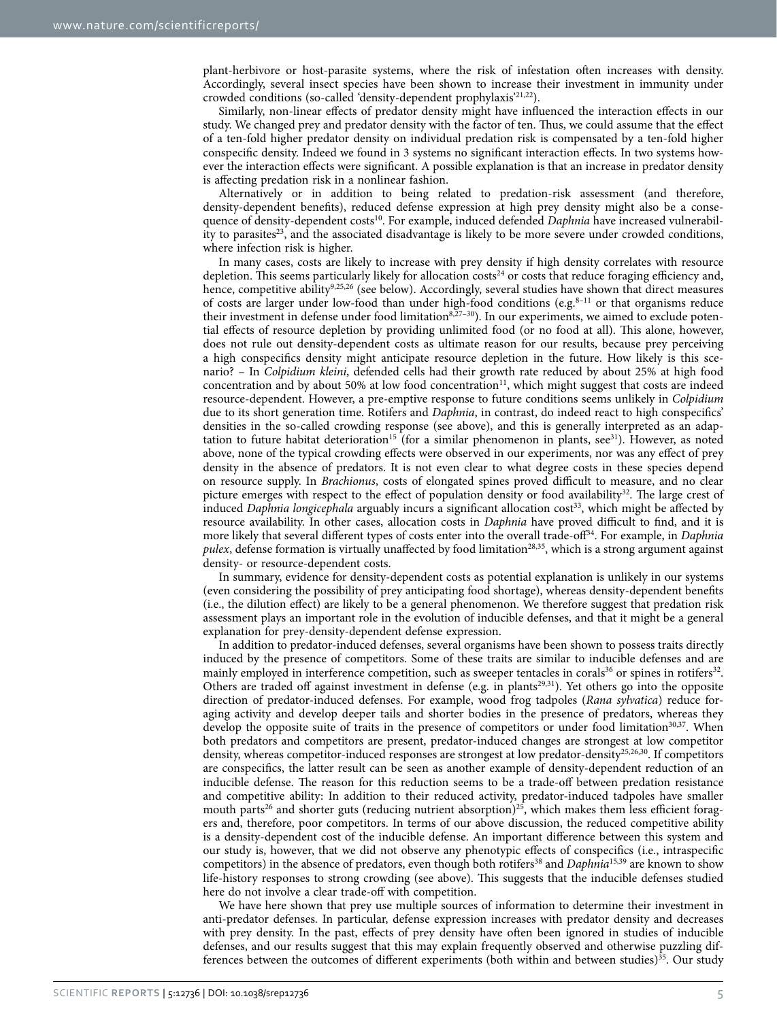plant-herbivore or host-parasite systems, where the risk of infestation often increases with density. Accordingly, several insect species have been shown to increase their investment in immunity under crowded conditions (so-called 'density-dependent prophylaxis['21](#page-7-15),[22\)](#page-7-16).

Similarly, non-linear effects of predator density might have influenced the interaction effects in our study. We changed prey and predator density with the factor of ten. Thus, we could assume that the effect of a ten-fold higher predator density on individual predation risk is compensated by a ten-fold higher conspecific density. Indeed we found in 3 systems no significant interaction effects. In two systems however the interaction effects were significant. A possible explanation is that an increase in predator density is affecting predation risk in a nonlinear fashion.

Alternatively or in addition to being related to predation-risk assessment (and therefore, density-dependent benefits), reduced defense expression at high prey density might also be a consequence of density-dependent costs<sup>10</sup>. For example, induced defended *Daphnia* have increased vulnerability to parasites<sup>23</sup>, and the associated disadvantage is likely to be more severe under crowded conditions, where infection risk is higher.

In many cases, costs are likely to increase with prey density if high density correlates with resource depletion. This seems particularly likely for allocation costs<sup>24</sup> or costs that reduce foraging efficiency and, hence, competitive ability<sup>9,[25,](#page-7-21)26</sup> (see below). Accordingly, several studies have shown that direct measures of costs are larger under low-food than under high-food conditions (e.g. $8-11$  or that organisms reduce their investment in defense under food limitation $827-30$ ). In our experiments, we aimed to exclude potential effects of resource depletion by providing unlimited food (or no food at all). This alone, however, does not rule out density-dependent costs as ultimate reason for our results, because prey perceiving a high conspecifics density might anticipate resource depletion in the future. How likely is this scenario? – In *Colpidium kleini*, defended cells had their growth rate reduced by about 25% at high food concentration and by about 50% at low food concentration<sup>11</sup>, which might suggest that costs are indeed resource-dependent. However, a pre-emptive response to future conditions seems unlikely in *Colpidium* due to its short generation time. Rotifers and *Daphnia*, in contrast, do indeed react to high conspecifics' densities in the so-called crowding response (see above), and this is generally interpreted as an adaptation to future habitat deterioratio[n15](#page-7-9) (for a similar phenomenon in plants, see[31\)](#page-7-25). However, as noted above, none of the typical crowding effects were observed in our experiments, nor was any effect of prey density in the absence of predators. It is not even clear to what degree costs in these species depend on resource supply. In *Brachionus*, costs of elongated spines proved difficult to measure, and no clear picture emerges with respect to the effect of population density or food availability $32$ . The large crest of induced *Daphnia longicephala* arguably incurs a significant allocation cost<sup>33</sup>, which might be affected by resource availability. In other cases, allocation costs in *Daphnia* have proved difficult to find, and it is more likely that several different types of costs enter into the overall trade-off[34.](#page-7-28) For example, in *Daphnia pulex*, defense formation is virtually unaffected by food limitation<sup>[28,](#page-7-29)35</sup>, which is a strong argument against density- or resource-dependent costs.

In summary, evidence for density-dependent costs as potential explanation is unlikely in our systems (even considering the possibility of prey anticipating food shortage), whereas density-dependent benefits (i.e., the dilution effect) are likely to be a general phenomenon. We therefore suggest that predation risk assessment plays an important role in the evolution of inducible defenses, and that it might be a general explanation for prey-density-dependent defense expression.

In addition to predator-induced defenses, several organisms have been shown to possess traits directly induced by the presence of competitors. Some of these traits are similar to inducible defenses and are mainly employed in interference competition, such as sweeper tentacles in corals<sup>36</sup> or spines in rotifers<sup>[32](#page-7-26)</sup>. Others are traded off against investment in defense (e.g. in plants<sup>29[,31](#page-7-25)</sup>). Yet others go into the opposite direction of predator-induced defenses. For example, wood frog tadpoles (*Rana sylvatica*) reduce foraging activity and develop deeper tails and shorter bodies in the presence of predators, whereas they develop the opposite suite of traits in the presence of competitors or under food limitation<sup>[30](#page-7-33),37</sup>. When both predators and competitors are present, predator-induced changes are strongest at low competitor density, whereas competitor-induced responses are strongest at low predator-density<sup>[25](#page-7-21)[,26](#page-7-22),30</sup>. If competitors are conspecifics, the latter result can be seen as another example of density-dependent reduction of an inducible defense. The reason for this reduction seems to be a trade-off between predation resistance and competitive ability: In addition to their reduced activity, predator-induced tadpoles have smaller mouth parts<sup>26</sup> and shorter guts (reducing nutrient absorption)<sup>25</sup>, which makes them less efficient foragers and, therefore, poor competitors. In terms of our above discussion, the reduced competitive ability is a density-dependent cost of the inducible defense. An important difference between this system and our study is, however, that we did not observe any phenotypic effects of conspecifics (i.e., intraspecific competitors) in the absence of predators, even though both rotifers<sup>38</sup> and *Daphnia*<sup>[15](#page-7-9)[,39](#page-7-36)</sup> are known to show life-history responses to strong crowding (see above). This suggests that the inducible defenses studied here do not involve a clear trade-off with competition.

We have here shown that prey use multiple sources of information to determine their investment in anti-predator defenses. In particular, defense expression increases with predator density and decreases with prey density. In the past, effects of prey density have often been ignored in studies of inducible defenses, and our results suggest that this may explain frequently observed and otherwise puzzling differences between the outcomes of different experiments (both within and between studies) $35$ . Our study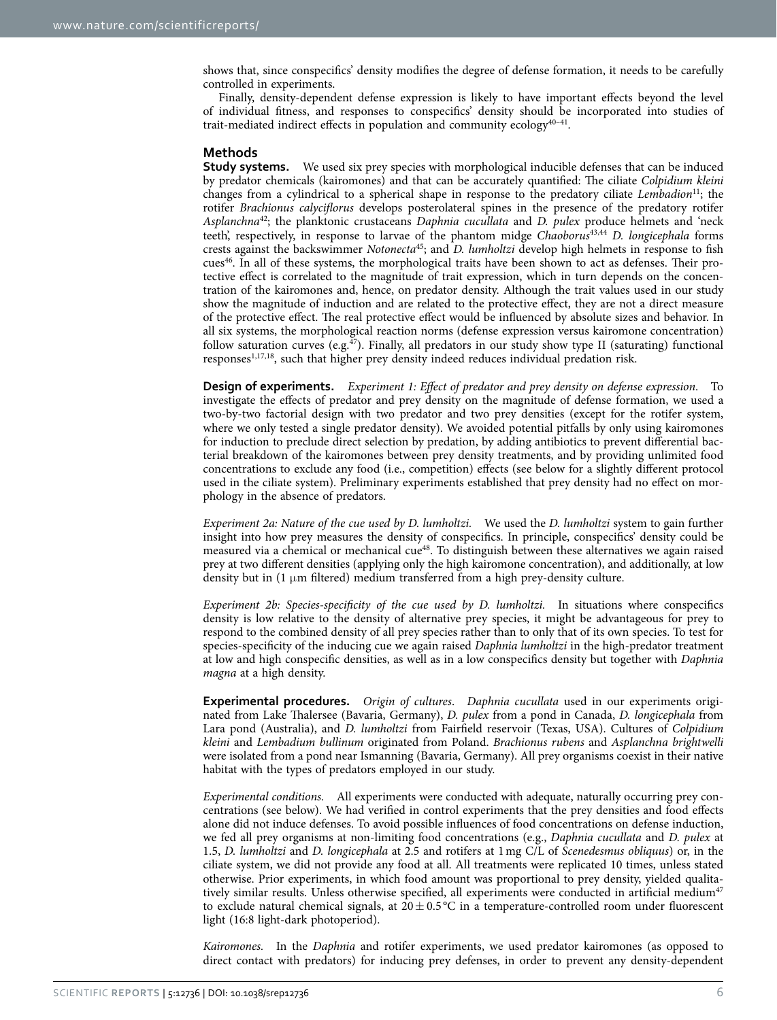shows that, since conspecifics' density modifies the degree of defense formation, it needs to be carefully controlled in experiments.

Finally, density-dependent defense expression is likely to have important effects beyond the level of individual fitness, and responses to conspecifics' density should be incorporated into studies of trait-mediated indirect effects in population and community  $ecology^{40-41}$ .

### **Methods**

**Study systems.** We used six prey species with morphological inducible defenses that can be induced by predator chemicals (kairomones) and that can be accurately quantified: The ciliate *Colpidium kleini* changes from a cylindrical to a spherical shape in response to the predatory ciliate *Lembadion*[11;](#page-7-24) the rotifer *Brachionus calyciflorus* develops posterolateral spines in the presence of the predatory rotifer *Asplanchna*[42](#page-8-0); the planktonic crustaceans *Daphnia cucullata* and *D. pulex* produce helmets and 'neck teeth', respectively, in response to larvae of the phantom midge *Chaoborus*[43](#page-8-1)[,44](#page-8-2) *D. longicephala* forms crests against the backswimmer *Notonecta*[45;](#page-8-3) and *D. lumholtzi* develop high helmets in response to fish cue[s46](#page-8-4). In all of these systems, the morphological traits have been shown to act as defenses. Their protective effect is correlated to the magnitude of trait expression, which in turn depends on the concentration of the kairomones and, hence, on predator density. Although the trait values used in our study show the magnitude of induction and are related to the protective effect, they are not a direct measure of the protective effect. The real protective effect would be influenced by absolute sizes and behavior. In all six systems, the morphological reaction norms (defense expression versus kairomone concentration) follow saturation curves (e.g.<sup> $47$ </sup>). Finally, all predators in our study show type II (saturating) functional responses<sup>[1](#page-7-0),[17](#page-7-11)[,18](#page-7-12)</sup>, such that higher prey density indeed reduces individual predation risk.

**Design of experiments.** *Experiment 1: Effect of predator and prey density on defense expression*. To investigate the effects of predator and prey density on the magnitude of defense formation, we used a two-by-two factorial design with two predator and two prey densities (except for the rotifer system, where we only tested a single predator density). We avoided potential pitfalls by only using kairomones for induction to preclude direct selection by predation, by adding antibiotics to prevent differential bacterial breakdown of the kairomones between prey density treatments, and by providing unlimited food concentrations to exclude any food (i.e., competition) effects (see below for a slightly different protocol used in the ciliate system). Preliminary experiments established that prey density had no effect on morphology in the absence of predators.

*Experiment 2a: Nature of the cue used by D. lumholtzi.* We used the *D. lumholtzi* system to gain further insight into how prey measures the density of conspecifics. In principle, conspecifics' density could be measured via a chemical or mechanical cue<sup>48</sup>. To distinguish between these alternatives we again raised prey at two different densities (applying only the high kairomone concentration), and additionally, at low density but in (1 μm filtered) medium transferred from a high prey-density culture.

*Experiment 2b: Species-specificity of the cue used by D. lumholtzi.* In situations where conspecifics density is low relative to the density of alternative prey species, it might be advantageous for prey to respond to the combined density of all prey species rather than to only that of its own species. To test for species-specificity of the inducing cue we again raised *Daphnia lumholtzi* in the high-predator treatment at low and high conspecific densities, as well as in a low conspecifics density but together with *Daphnia magna* at a high density.

**Experimental procedures.** *Origin of cultures*. *Daphnia cucullata* used in our experiments originated from Lake Thalersee (Bavaria, Germany), *D. pulex* from a pond in Canada, *D. longicephala* from Lara pond (Australia), and *D. lumholtzi* from Fairfield reservoir (Texas, USA). Cultures of *Colpidium kleini* and *Lembadium bullinum* originated from Poland. *Brachionus rubens* and *Asplanchna brightwelli* were isolated from a pond near Ismanning (Bavaria, Germany). All prey organisms coexist in their native habitat with the types of predators employed in our study.

*Experimental conditions.* All experiments were conducted with adequate, naturally occurring prey concentrations (see below). We had verified in control experiments that the prey densities and food effects alone did not induce defenses. To avoid possible influences of food concentrations on defense induction, we fed all prey organisms at non-limiting food concentrations (e.g., *Daphnia cucullata* and *D. pulex* at 1.5, *D. lumholtzi* and *D. longicephala* at 2.5 and rotifers at 1mg C/L of *Scenedesmus obliquus*) or, in the ciliate system, we did not provide any food at all. All treatments were replicated 10 times, unless stated otherwise. Prior experiments, in which food amount was proportional to prey density, yielded qualita-tively similar results. Unless otherwise specified, all experiments were conducted in artificial medium<sup>[47](#page-8-5)</sup> to exclude natural chemical signals, at  $20 \pm 0.5^{\circ}$ C in a temperature-controlled room under fluorescent light (16:8 light-dark photoperiod).

*Kairomones.* In the *Daphnia* and rotifer experiments, we used predator kairomones (as opposed to direct contact with predators) for inducing prey defenses, in order to prevent any density-dependent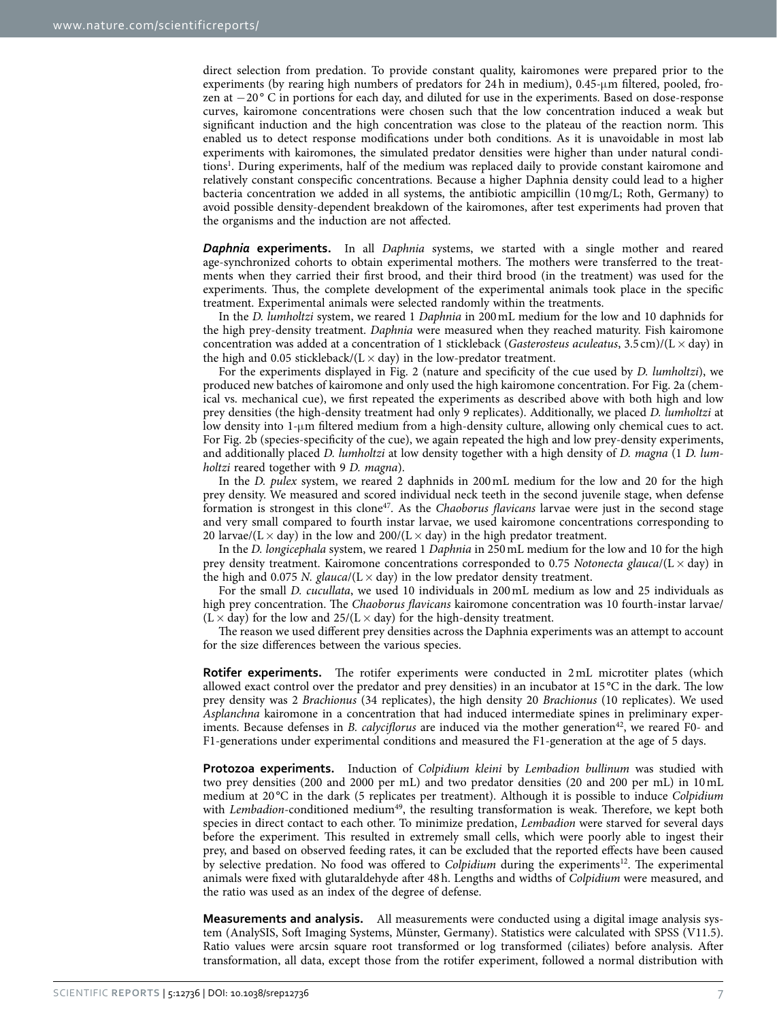direct selection from predation. To provide constant quality, kairomones were prepared prior to the experiments (by rearing high numbers of predators for 24h in medium), 0.45-μm filtered, pooled, frozen at −20 ° C in portions for each day, and diluted for use in the experiments. Based on dose-response curves, kairomone concentrations were chosen such that the low concentration induced a weak but significant induction and the high concentration was close to the plateau of the reaction norm. This enabled us to detect response modifications under both conditions. As it is unavoidable in most lab experiments with kairomones, the simulated predator densities were higher than under natural condition[s1](#page-7-0) . During experiments, half of the medium was replaced daily to provide constant kairomone and relatively constant conspecific concentrations. Because a higher Daphnia density could lead to a higher bacteria concentration we added in all systems, the antibiotic ampicillin (10mg/L; Roth, Germany) to avoid possible density-dependent breakdown of the kairomones, after test experiments had proven that the organisms and the induction are not affected.

*Daphnia* **experiments.** In all *Daphnia* systems, we started with a single mother and reared age-synchronized cohorts to obtain experimental mothers. The mothers were transferred to the treatments when they carried their first brood, and their third brood (in the treatment) was used for the experiments. Thus, the complete development of the experimental animals took place in the specific treatment. Experimental animals were selected randomly within the treatments.

In the *D. lumholtzi* system, we reared 1 *Daphnia* in 200mL medium for the low and 10 daphnids for the high prey-density treatment. *Daphnia* were measured when they reached maturity. Fish kairomone concentration was added at a concentration of 1 stickleback (*Gasterosteus aculeatus*, 3.5 cm)/(L× day) in the high and 0.05 stickleback/( $L \times day$ ) in the low-predator treatment.

For the experiments displayed in [Fig. 2](#page-3-0) (nature and specificity of the cue used by *D. lumholtzi*), we produced new batches of kairomone and only used the high kairomone concentration. For [Fig. 2a](#page-3-0) (chemical vs. mechanical cue), we first repeated the experiments as described above with both high and low prey densities (the high-density treatment had only 9 replicates). Additionally, we placed *D. lumholtzi* at low density into 1-μm filtered medium from a high-density culture, allowing only chemical cues to act. For [Fig. 2b](#page-3-0) (species-specificity of the cue), we again repeated the high and low prey-density experiments, and additionally placed *D. lumholtzi* at low density together with a high density of *D. magna* (1 *D. lumholtzi* reared together with 9 *D. magna*).

In the *D. pulex* system, we reared 2 daphnids in 200mL medium for the low and 20 for the high prey density. We measured and scored individual neck teeth in the second juvenile stage, when defense formation is strongest in this clone[47.](#page-8-5) As the *Chaoborus flavicans* larvae were just in the second stage and very small compared to fourth instar larvae, we used kairomone concentrations corresponding to 20 larvae/(L  $\times$  day) in the low and 200/(L  $\times$  day) in the high predator treatment.

In the *D. longicephala* system, we reared 1 *Daphnia* in 250mL medium for the low and 10 for the high prey density treatment. Kairomone concentrations corresponded to 0.75 *Notonecta glauca*/( $L \times day$ ) in the high and 0.075 *N. glauca*/( $L \times day$ ) in the low predator density treatment.

For the small *D. cucullata*, we used 10 individuals in 200mL medium as low and 25 individuals as high prey concentration. The *Chaoborus flavicans* kairomone concentration was 10 fourth-instar larvae/  $(L \times day)$  for the low and 25/( $L \times day$ ) for the high-density treatment.

The reason we used different prey densities across the Daphnia experiments was an attempt to account for the size differences between the various species.

**Rotifer experiments.** The rotifer experiments were conducted in 2mL microtiter plates (which allowed exact control over the predator and prey densities) in an incubator at 15 °C in the dark. The low prey density was 2 *Brachionus* (34 replicates), the high density 20 *Brachionus* (10 replicates). We used *Asplanchna* kairomone in a concentration that had induced intermediate spines in preliminary experiments. Because defenses in *B. calyciflorus* are induced via the mother generation<sup>42</sup>, we reared F0- and F1-generations under experimental conditions and measured the F1-generation at the age of 5 days.

**Protozoa experiments.** Induction of *Colpidium kleini* by *Lembadion bullinum* was studied with two prey densities (200 and 2000 per mL) and two predator densities (20 and 200 per mL) in 10mL medium at 20 °C in the dark (5 replicates per treatment). Although it is possible to induce *Colpidium* with *Lembadion*-conditioned medium<sup>49</sup>, the resulting transformation is weak. Therefore, we kept both species in direct contact to each other. To minimize predation, *Lembadion* were starved for several days before the experiment. This resulted in extremely small cells, which were poorly able to ingest their prey, and based on observed feeding rates, it can be excluded that the reported effects have been caused by selective predation. No food was offered to *Colpidium* during the experiment[s12](#page-7-6). The experimental animals were fixed with glutaraldehyde after 48h. Lengths and widths of *Colpidium* were measured, and the ratio was used as an index of the degree of defense.

**Measurements and analysis.** All measurements were conducted using a digital image analysis system (AnalySIS, Soft Imaging Systems, Münster, Germany). Statistics were calculated with SPSS (V11.5). Ratio values were arcsin square root transformed or log transformed (ciliates) before analysis. After transformation, all data, except those from the rotifer experiment, followed a normal distribution with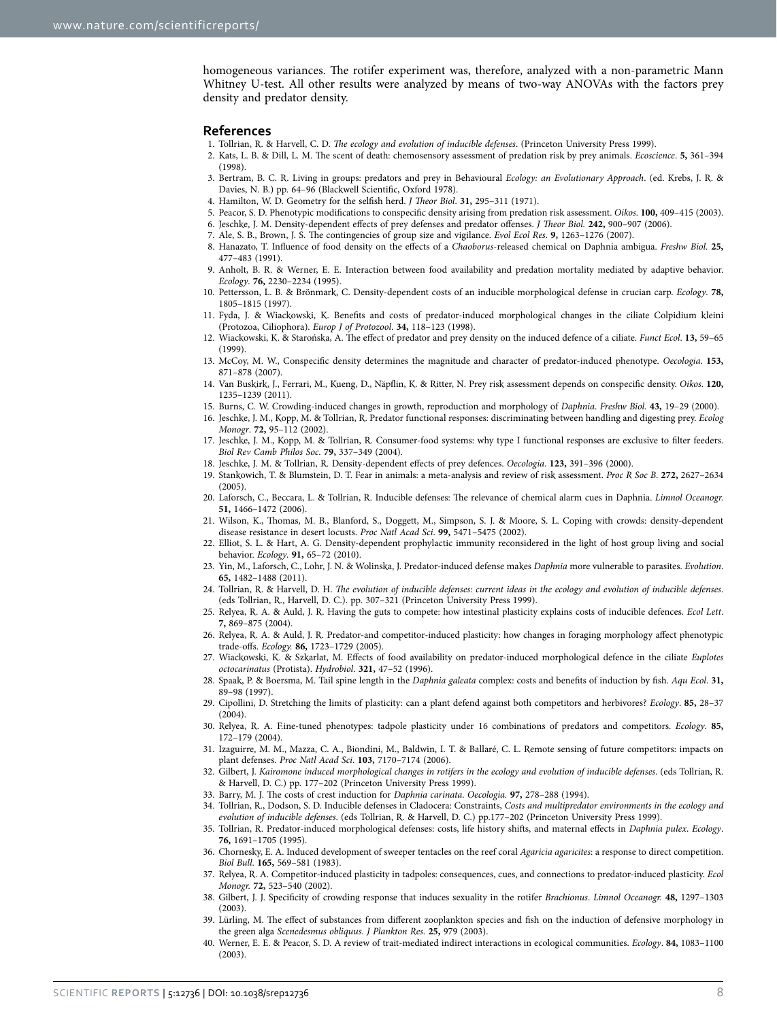homogeneous variances. The rotifer experiment was, therefore, analyzed with a non-parametric Mann Whitney U-test. All other results were analyzed by means of two-way ANOVAs with the factors prey density and predator density.

#### **References**

- <span id="page-7-0"></span>1. Tollrian, R. & Harvell, C. D. *The ecology and evolution of inducible defenses*. (Princeton University Press 1999).
- <span id="page-7-1"></span>2. Kats, L. B. & Dill, L. M. The scent of death: chemosensory assessment of predation risk by prey animals. *Ecoscience*. **5,** 361–394 (1998).
- <span id="page-7-2"></span>3. Bertram, B. C. R. Living in groups: predators and prey in Behavioural *Ecology: an Evolutionary Approach*. (ed. Krebs, J. R. & Davies, N. B.) pp. 64–96 (Blackwell Scientific, Oxford 1978).
- <span id="page-7-3"></span>4. Hamilton, W. D. Geometry for the selfish herd. *J Theor Biol*. **31,** 295–311 (1971).
- <span id="page-7-4"></span>5. Peacor, S. D. Phenotypic modifications to conspecific density arising from predation risk assessment. *Oikos*. **100,** 409–415 (2003).
- 6. Jeschke, J. M. Density-dependent effects of prey defenses and predator offenses. *J Theor Biol.* **242,** 900–907 (2006).
- 7. Ale, S. B., Brown, J. S. The contingencies of group size and vigilance. *Evol Ecol Res*. **9,** 1263–1276 (2007).
- <span id="page-7-5"></span>8. Hanazato, T. Influence of food density on the effects of a *Chaoborus*-released chemical on Daphnia ambigua. *Freshw Biol*. **25,** 477–483 (1991).
- <span id="page-7-20"></span>9. Anholt, B. R. & Werner, E. E. Interaction between food availability and predation mortality mediated by adaptive behavior. *Ecology*. **76,** 2230–2234 (1995).
- <span id="page-7-17"></span>10. Pettersson, L. B. & Brönmark, C. Density-dependent costs of an inducible morphological defense in crucian carp. *Ecology*. **78,** 1805–1815 (1997).
- <span id="page-7-24"></span>11. Fyda, J. & Wiackowski, K. Benefits and costs of predator-induced morphological changes in the ciliate Colpidium kleini (Protozoa, Ciliophora). *Europ J of Protozool*. **34,** 118–123 (1998).
- <span id="page-7-6"></span>12. Wiackowski, K. & Starońska, A. The effect of predator and prey density on the induced defence of a ciliate. *Funct Ecol*. **13,** 59–65 (1999).
- <span id="page-7-7"></span>13. McCoy, M. W., Conspecific density determines the magnitude and character of predator-induced phenotype. *Oecologia*. **153,** 871–878 (2007).
- <span id="page-7-8"></span>14. Van Buskirk, J., Ferrari, M., Kueng, D., Näpflin, K. & Ritter, N. Prey risk assessment depends on conspecific density. *Oikos*. **120,** 1235–1239 (2011).
- <span id="page-7-9"></span>15. Burns, C. W. Crowding-induced changes in growth, reproduction and morphology of *Daphnia*. *Freshw Biol.* **43,** 19–29 (2000).
- <span id="page-7-10"></span>16. Jeschke, J. M., Kopp, M. & Tollrian, R. Predator functional responses: discriminating between handling and digesting prey. *Ecolog Monogr*. **72,** 95–112 (2002).
- <span id="page-7-11"></span>17. Jeschke, J. M., Kopp, M. & Tollrian, R. Consumer-food systems: why type I functional responses are exclusive to filter feeders. *Biol Rev Camb Philos Soc*. **79,** 337–349 (2004).
- <span id="page-7-13"></span><span id="page-7-12"></span>18. Jeschke, J. M. & Tollrian, R. Density-dependent effects of prey defences. *Oecologia*. **123,** 391–396 (2000).
- 19. Stankowich, T. & Blumstein, D. T. Fear in animals: a meta-analysis and review of risk assessment. *Proc R Soc B*. **272,** 2627–2634 (2005).
- <span id="page-7-14"></span>20. Laforsch, C., Beccara, L. & Tollrian, R. Inducible defenses: The relevance of chemical alarm cues in Daphnia. *Limnol Oceanogr.* **51,** 1466–1472 (2006).
- <span id="page-7-15"></span>21. Wilson, K., Thomas, M. B., Blanford, S., Doggett, M., Simpson, S. J. & Moore, S. L. Coping with crowds: density-dependent disease resistance in desert locusts. *Proc Natl Acad Sci*. **99,** 5471–5475 (2002).
- <span id="page-7-16"></span>22. Elliot, S. L. & Hart, A. G. Density-dependent prophylactic immunity reconsidered in the light of host group living and social behavior. *Ecology*. **91,** 65–72 (2010).
- <span id="page-7-18"></span>23. Yin, M., Laforsch, C., Lohr, J. N. & Wolinska, J. Predator-induced defense makes *Daphnia* more vulnerable to parasites. *Evolution*. **65,** 1482–1488 (2011).
- <span id="page-7-19"></span>24. Tollrian, R. & Harvell, D. H. *The evolution of inducible defenses: current ideas in the ecology and evolution of inducible defenses*. (eds Tollrian, R., Harvell, D. C.). pp. 307–321 (Princeton University Press 1999).
- <span id="page-7-21"></span>25. Relyea, R. A. & Auld, J. R. Having the guts to compete: how intestinal plasticity explains costs of inducible defences. *Ecol Lett*. **7,** 869–875 (2004).
- <span id="page-7-22"></span>26. Relyea, R. A. & Auld, J. R. Predator-and competitor-induced plasticity: how changes in foraging morphology affect phenotypic trade-offs. *Ecology.* **86,** 1723–1729 (2005).
- <span id="page-7-23"></span>27. Wiackowski, K. & Szkarlat, M. Effects of food availability on predator-induced morphological defence in the ciliate *Euplotes octocarinatus* (Protista). *Hydrobiol*. **321,** 47–52 (1996).
- <span id="page-7-29"></span>28. Spaak, P. & Boersma, M. Tail spine length in the *Daphnia galeata* complex: costs and benefits of induction by fish. *Aqu Ecol*. **31,** 89–98 (1997).
- <span id="page-7-32"></span>29. Cipollini, D. Stretching the limits of plasticity: can a plant defend against both competitors and herbivores? *Ecology*. **85,** 28–37 (2004).
- <span id="page-7-33"></span>30. Relyea, R. A. F.ine-tuned phenotypes: tadpole plasticity under 16 combinations of predators and competitors. *Ecology*. **85,** 172–179 (2004).
- <span id="page-7-25"></span>31. Izaguirre, M. M., Mazza, C. A., Biondini, M., Baldwin, I. T. & Ballaré, C. L. Remote sensing of future competitors: impacts on plant defenses. *Proc Natl Acad Sci*. **103,** 7170–7174 (2006).
- <span id="page-7-26"></span>32. Gilbert, J. *Kairomone induced morphological changes in rotifers in the ecology and evolution of inducible defenses*. (eds Tollrian, R. & Harvell, D. C.) pp. 177–202 (Princeton University Press 1999).
- <span id="page-7-28"></span><span id="page-7-27"></span>33. Barry, M. J. The costs of crest induction for *Daphnia carinata*. *Oecologia.* **97,** 278–288 (1994).
- 34. Tollrian, R., Dodson, S. D. Inducible defenses in Cladocera: Constraints, *Costs and multipredator environments in the ecology and evolution of inducible defenses*. (eds Tollrian, R. & Harvell, D. C.) pp.177–202 (Princeton University Press 1999).
- <span id="page-7-30"></span>35. Tollrian, R. Predator-induced morphological defenses: costs, life history shifts, and maternal effects in *Daphnia pulex*. *Ecology*. **76,** 1691–1705 (1995).
- <span id="page-7-31"></span>36. Chornesky, E. A. Induced development of sweeper tentacles on the reef coral *Agaricia agaricites*: a response to direct competition. *Biol Bull*. **165,** 569–581 (1983).
- <span id="page-7-34"></span>37. Relyea, R. A. Competitor-induced plasticity in tadpoles: consequences, cues, and connections to predator-induced plasticity. *Ecol Monogr.* **72,** 523–540 (2002).
- <span id="page-7-35"></span>38. Gilbert, J. J. Specificity of crowding response that induces sexuality in the rotifer *Brachionus*. *Limnol Oceanogr.* **48,** 1297–1303 (2003).
- <span id="page-7-36"></span>39. Lürling, M. The effect of substances from different zooplankton species and fish on the induction of defensive morphology in the green alga *Scenedesmus obliquus*. *J Plankton Res*. **25,** 979 (2003).
- <span id="page-7-37"></span>40. Werner, E. E. & Peacor, S. D. A review of trait-mediated indirect interactions in ecological communities. *Ecology*. **84,** 1083–1100 (2003).